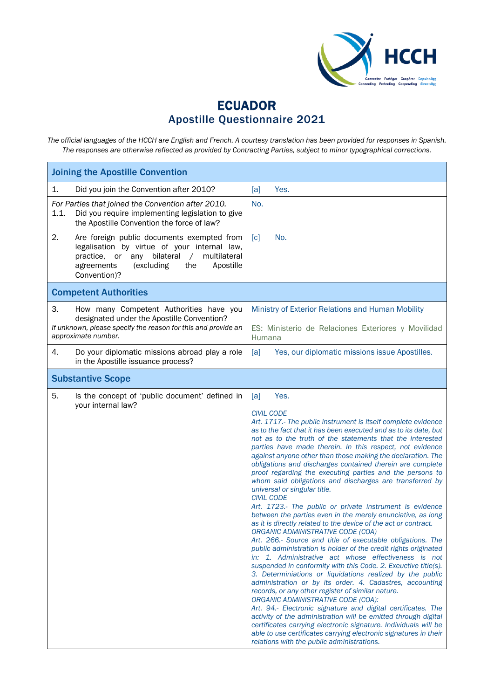

## **ECUADOR** Apostille Questionnaire 2021

*The official languages of the HCCH are English and French. A courtesy translation has been provided for responses in Spanish. The responses are otherwise reflected as provided by Contracting Parties, subject to minor typographical corrections.*

| <b>Joining the Apostille Convention</b>                                                                                                                                                                                         |                                                                                                                                                                                                                                                                                                                                                                                                                                                                                                                                                                                                                                                                                                                                                                                                                                                                                                                                                                                                                                                                                                                                                                                                                                                                                                                                                                                                                                                                                                                                                                                                                                                 |
|---------------------------------------------------------------------------------------------------------------------------------------------------------------------------------------------------------------------------------|-------------------------------------------------------------------------------------------------------------------------------------------------------------------------------------------------------------------------------------------------------------------------------------------------------------------------------------------------------------------------------------------------------------------------------------------------------------------------------------------------------------------------------------------------------------------------------------------------------------------------------------------------------------------------------------------------------------------------------------------------------------------------------------------------------------------------------------------------------------------------------------------------------------------------------------------------------------------------------------------------------------------------------------------------------------------------------------------------------------------------------------------------------------------------------------------------------------------------------------------------------------------------------------------------------------------------------------------------------------------------------------------------------------------------------------------------------------------------------------------------------------------------------------------------------------------------------------------------------------------------------------------------|
| Did you join the Convention after 2010?<br>1.                                                                                                                                                                                   | Yes.<br>[a]                                                                                                                                                                                                                                                                                                                                                                                                                                                                                                                                                                                                                                                                                                                                                                                                                                                                                                                                                                                                                                                                                                                                                                                                                                                                                                                                                                                                                                                                                                                                                                                                                                     |
| For Parties that joined the Convention after 2010.<br>1.1.<br>Did you require implementing legislation to give<br>the Apostille Convention the force of law?                                                                    | No.                                                                                                                                                                                                                                                                                                                                                                                                                                                                                                                                                                                                                                                                                                                                                                                                                                                                                                                                                                                                                                                                                                                                                                                                                                                                                                                                                                                                                                                                                                                                                                                                                                             |
| 2.<br>Are foreign public documents exempted from<br>legalisation by virtue of your internal law,<br>any bilateral<br>multilateral<br>practice, or<br>$\sqrt{2}$<br>agreements<br>(excluding<br>the<br>Apostille<br>Convention)? | No.<br>$\lceil c \rceil$                                                                                                                                                                                                                                                                                                                                                                                                                                                                                                                                                                                                                                                                                                                                                                                                                                                                                                                                                                                                                                                                                                                                                                                                                                                                                                                                                                                                                                                                                                                                                                                                                        |
| <b>Competent Authorities</b>                                                                                                                                                                                                    |                                                                                                                                                                                                                                                                                                                                                                                                                                                                                                                                                                                                                                                                                                                                                                                                                                                                                                                                                                                                                                                                                                                                                                                                                                                                                                                                                                                                                                                                                                                                                                                                                                                 |
| 3.<br>How many Competent Authorities have you                                                                                                                                                                                   | Ministry of Exterior Relations and Human Mobility                                                                                                                                                                                                                                                                                                                                                                                                                                                                                                                                                                                                                                                                                                                                                                                                                                                                                                                                                                                                                                                                                                                                                                                                                                                                                                                                                                                                                                                                                                                                                                                               |
| designated under the Apostille Convention?<br>If unknown, please specify the reason for this and provide an<br>approximate number.                                                                                              | ES: Ministerio de Relaciones Exteriores y Movilidad<br>Humana                                                                                                                                                                                                                                                                                                                                                                                                                                                                                                                                                                                                                                                                                                                                                                                                                                                                                                                                                                                                                                                                                                                                                                                                                                                                                                                                                                                                                                                                                                                                                                                   |
| 4.<br>Do your diplomatic missions abroad play a role<br>in the Apostille issuance process?                                                                                                                                      | [a]<br>Yes, our diplomatic missions issue Apostilles.                                                                                                                                                                                                                                                                                                                                                                                                                                                                                                                                                                                                                                                                                                                                                                                                                                                                                                                                                                                                                                                                                                                                                                                                                                                                                                                                                                                                                                                                                                                                                                                           |
| <b>Substantive Scope</b>                                                                                                                                                                                                        |                                                                                                                                                                                                                                                                                                                                                                                                                                                                                                                                                                                                                                                                                                                                                                                                                                                                                                                                                                                                                                                                                                                                                                                                                                                                                                                                                                                                                                                                                                                                                                                                                                                 |
| 5.<br>Is the concept of 'public document' defined in<br>your internal law?                                                                                                                                                      | Yes.<br>[a]<br><b>CIVIL CODE</b><br>Art. 1717.- The public instrument is itself complete evidence<br>as to the fact that it has been executed and as to its date, but<br>not as to the truth of the statements that the interested<br>parties have made therein. In this respect, not evidence<br>against anyone other than those making the declaration. The<br>obligations and discharges contained therein are complete<br>proof regarding the executing parties and the persons to<br>whom said obligations and discharges are transferred by<br>universal or singular title.<br><b>CIVIL CODE</b><br>Art. 1723.- The public or private instrument is evidence<br>between the parties even in the merely enunciative, as long<br>as it is directly related to the device of the act or contract.<br>ORGANIC ADMINISTRATIVE CODE (COA)<br>Art. 266.- Source and title of executable obligations. The<br>public administration is holder of the credit rights originated<br>in: 1. Administrative act whose effectiveness is not<br>suspended in conformity with this Code. 2. Exeuctive title(s).<br>3. Determiniations or liquidations realized by the public<br>administration or by its order. 4. Cadastres, accounting<br>records, or any other register of similar nature.<br>ORGANIC ADMINISTRATIVE CODE (COA):<br>Art. 94.- Electronic signature and digital certificates. The<br>activity of the administration will be emitted through digital<br>certificates carrying electronic signature. Individuals will be<br>able to use certificates carrying electronic signatures in their<br>relations with the public administrations. |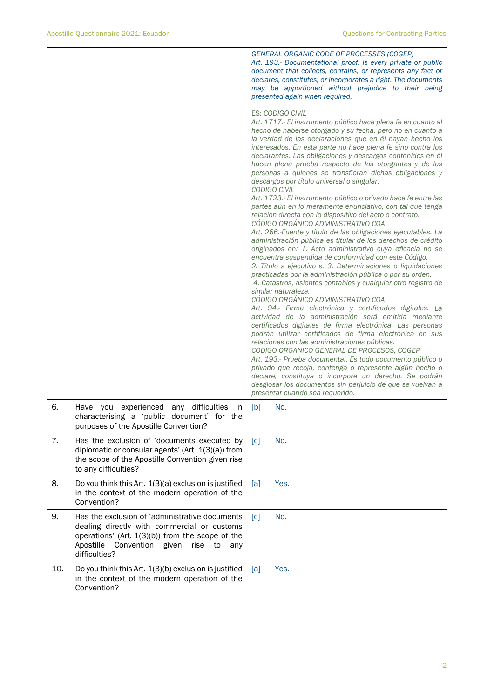|     |                                                                                                                                                                                                                             | GENERAL ORGANIC CODE OF PROCESSES (COGEP)<br>Art. 193.- Documentational proof. Is every private or public<br>document that collects, contains, or represents any fact or<br>declares, constitutes, or incorporates a right. The documents<br>may be apportioned without prejudice to their being<br>presented again when required.                                                                                                                                                                                                                                                                                                                                                                                                                                                                                                                                                                                                                                                                                                                                                                                                                                                                                                                                                                                                                                                                                                                                                                                                                                                                                                                                                                                                                                                                                                                                                                               |  |
|-----|-----------------------------------------------------------------------------------------------------------------------------------------------------------------------------------------------------------------------------|------------------------------------------------------------------------------------------------------------------------------------------------------------------------------------------------------------------------------------------------------------------------------------------------------------------------------------------------------------------------------------------------------------------------------------------------------------------------------------------------------------------------------------------------------------------------------------------------------------------------------------------------------------------------------------------------------------------------------------------------------------------------------------------------------------------------------------------------------------------------------------------------------------------------------------------------------------------------------------------------------------------------------------------------------------------------------------------------------------------------------------------------------------------------------------------------------------------------------------------------------------------------------------------------------------------------------------------------------------------------------------------------------------------------------------------------------------------------------------------------------------------------------------------------------------------------------------------------------------------------------------------------------------------------------------------------------------------------------------------------------------------------------------------------------------------------------------------------------------------------------------------------------------------|--|
|     |                                                                                                                                                                                                                             | <b>ES: CODIGO CIVIL</b><br>Art. 1717.- El instrumento público hace plena fe en cuanto al<br>hecho de haberse otorgado y su fecha, pero no en cuanto a<br>la verdad de las declaraciones que en él hayan hecho los<br>interesados. En esta parte no hace plena fe sino contra los<br>declarantes. Las obligaciones y descargos contenidos en él<br>hacen plena prueba respecto de los otorgantes y de las<br>personas a quienes se transfieran dichas obligaciones y<br>descargos por título universal o singular.<br>CODIGO CIVIL<br>Art. 1723.- El instrumento público o privado hace fe entre las<br>partes aún en lo meramente enunciativo, con tal que tenga<br>relación directa con lo dispositivo del acto o contrato.<br>CÓDIGO ORGÁNICO ADMINISTRATIVO COA<br>Art. 266.-Fuente y título de las obligaciones ejecutables. La<br>administración pública es titular de los derechos de crédito<br>originados en: 1. Acto administrativo cuya eficacia no se<br>encuentra suspendida de conformidad con este Código.<br>2. Título s ejecutivo s. 3. Determinaciones o liquidaciones<br>practicadas por la administración pública o por su orden.<br>4. Catastros, asientos contables y cualquier otro registro de<br>similar naturaleza.<br>CÓDIGO ORGÁNICO ADMINISTRATIVO COA<br>Art. 94.- Firma electrónica y certificados digitales. La<br>actividad de la administración será emitida mediante<br>certificados digitales de firma electrónica. Las personas<br>podrán utilizar certificados de firma electrónica en sus<br>relaciones con las administraciones públicas.<br>CODIGO ORGANICO GENERAL DE PROCESOS, COGEP<br>Art. 193.- Prueba documental. Es todo documento público o<br>privado que recoja, contenga o represente algún hecho o<br>declare, constituya o incorpore un derecho. Se podrán<br>desglosar los documentos sin perjuicio de que se vuelvan a<br>presentar cuando sea requerido. |  |
| 6.  | Have you experienced any difficulties in<br>characterising a 'public document' for the<br>purposes of the Apostille Convention?                                                                                             | No.<br>[b]                                                                                                                                                                                                                                                                                                                                                                                                                                                                                                                                                                                                                                                                                                                                                                                                                                                                                                                                                                                                                                                                                                                                                                                                                                                                                                                                                                                                                                                                                                                                                                                                                                                                                                                                                                                                                                                                                                       |  |
| 7.  | Has the exclusion of 'documents executed by<br>diplomatic or consular agents' (Art. 1(3)(a)) from<br>the scope of the Apostille Convention given rise<br>to any difficulties?                                               | No.<br>[c]                                                                                                                                                                                                                                                                                                                                                                                                                                                                                                                                                                                                                                                                                                                                                                                                                                                                                                                                                                                                                                                                                                                                                                                                                                                                                                                                                                                                                                                                                                                                                                                                                                                                                                                                                                                                                                                                                                       |  |
| 8.  | Do you think this Art. 1(3)(a) exclusion is justified<br>in the context of the modern operation of the<br>Convention?                                                                                                       | Yes.<br>[a]                                                                                                                                                                                                                                                                                                                                                                                                                                                                                                                                                                                                                                                                                                                                                                                                                                                                                                                                                                                                                                                                                                                                                                                                                                                                                                                                                                                                                                                                                                                                                                                                                                                                                                                                                                                                                                                                                                      |  |
| 9.  | Has the exclusion of 'administrative documents<br>dealing directly with commercial or customs<br>operations' (Art. $1(3)(b)$ ) from the scope of the<br>Convention given<br>Apostille<br>rise<br>to<br>any<br>difficulties? | No.<br>[c]                                                                                                                                                                                                                                                                                                                                                                                                                                                                                                                                                                                                                                                                                                                                                                                                                                                                                                                                                                                                                                                                                                                                                                                                                                                                                                                                                                                                                                                                                                                                                                                                                                                                                                                                                                                                                                                                                                       |  |
| 10. | Do you think this Art. 1(3)(b) exclusion is justified<br>in the context of the modern operation of the<br>Convention?                                                                                                       | Yes.<br>[a]                                                                                                                                                                                                                                                                                                                                                                                                                                                                                                                                                                                                                                                                                                                                                                                                                                                                                                                                                                                                                                                                                                                                                                                                                                                                                                                                                                                                                                                                                                                                                                                                                                                                                                                                                                                                                                                                                                      |  |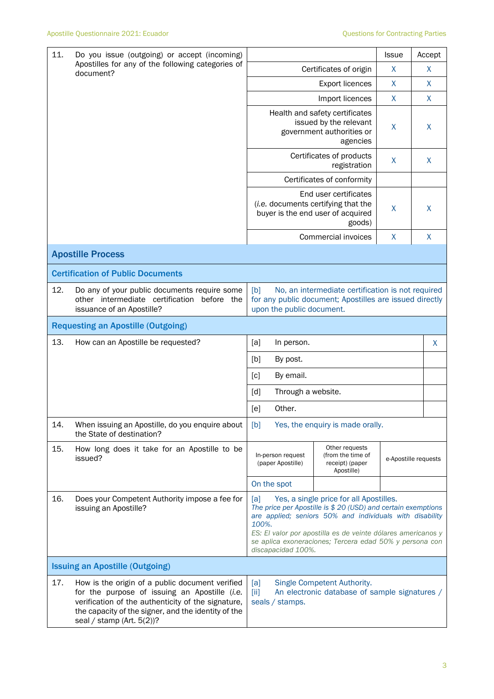| 11.                                                            | Do you issue (outgoing) or accept (incoming)                                                                                                                                                                                               |                                                                                                                | Issue                                                                                                                                                                                                                                                                                           | Accept               |   |  |
|----------------------------------------------------------------|--------------------------------------------------------------------------------------------------------------------------------------------------------------------------------------------------------------------------------------------|----------------------------------------------------------------------------------------------------------------|-------------------------------------------------------------------------------------------------------------------------------------------------------------------------------------------------------------------------------------------------------------------------------------------------|----------------------|---|--|
| Apostilles for any of the following categories of<br>document? | Certificates of origin                                                                                                                                                                                                                     | X                                                                                                              | X                                                                                                                                                                                                                                                                                               |                      |   |  |
|                                                                |                                                                                                                                                                                                                                            |                                                                                                                | X                                                                                                                                                                                                                                                                                               | X                    |   |  |
|                                                                |                                                                                                                                                                                                                                            |                                                                                                                | $\mathsf{X}$                                                                                                                                                                                                                                                                                    | X                    |   |  |
|                                                                |                                                                                                                                                                                                                                            |                                                                                                                | Health and safety certificates<br>issued by the relevant<br>government authorities or<br>agencies                                                                                                                                                                                               | X                    | X |  |
|                                                                |                                                                                                                                                                                                                                            |                                                                                                                | Certificates of products<br>registration                                                                                                                                                                                                                                                        | X                    | X |  |
|                                                                |                                                                                                                                                                                                                                            |                                                                                                                | Certificates of conformity                                                                                                                                                                                                                                                                      |                      |   |  |
|                                                                |                                                                                                                                                                                                                                            |                                                                                                                | End user certificates<br>(i.e. documents certifying that the<br>buyer is the end user of acquired<br>goods)                                                                                                                                                                                     | X                    | X |  |
|                                                                |                                                                                                                                                                                                                                            |                                                                                                                | Commercial invoices                                                                                                                                                                                                                                                                             | X                    | X |  |
|                                                                | <b>Apostille Process</b>                                                                                                                                                                                                                   |                                                                                                                |                                                                                                                                                                                                                                                                                                 |                      |   |  |
|                                                                | <b>Certification of Public Documents</b>                                                                                                                                                                                                   |                                                                                                                |                                                                                                                                                                                                                                                                                                 |                      |   |  |
| 12.                                                            | Do any of your public documents require some<br>other intermediate certification<br>before the<br>issuance of an Apostille?                                                                                                                | [b]<br>upon the public document.                                                                               | No, an intermediate certification is not required<br>for any public document; Apostilles are issued directly                                                                                                                                                                                    |                      |   |  |
|                                                                | <b>Requesting an Apostille (Outgoing)</b>                                                                                                                                                                                                  |                                                                                                                |                                                                                                                                                                                                                                                                                                 |                      |   |  |
| 13.                                                            | How can an Apostille be requested?                                                                                                                                                                                                         | [a]<br>In person.                                                                                              |                                                                                                                                                                                                                                                                                                 |                      | X |  |
|                                                                |                                                                                                                                                                                                                                            | [b]<br>By post.                                                                                                |                                                                                                                                                                                                                                                                                                 |                      |   |  |
|                                                                |                                                                                                                                                                                                                                            | By email.<br>[c]                                                                                               |                                                                                                                                                                                                                                                                                                 |                      |   |  |
|                                                                |                                                                                                                                                                                                                                            | $\lceil d \rceil$                                                                                              | Through a website.                                                                                                                                                                                                                                                                              |                      |   |  |
|                                                                |                                                                                                                                                                                                                                            | Other.<br>[e]                                                                                                  |                                                                                                                                                                                                                                                                                                 |                      |   |  |
| 14.                                                            | When issuing an Apostille, do you enquire about<br>the State of destination?                                                                                                                                                               | [b]                                                                                                            | Yes, the enquiry is made orally.                                                                                                                                                                                                                                                                |                      |   |  |
| 15.                                                            | How long does it take for an Apostille to be<br>issued?                                                                                                                                                                                    | Other requests<br>In-person request<br>(from the time of<br>(paper Apostille)<br>receipt) (paper<br>Apostille) |                                                                                                                                                                                                                                                                                                 | e-Apostille requests |   |  |
|                                                                |                                                                                                                                                                                                                                            | On the spot                                                                                                    |                                                                                                                                                                                                                                                                                                 |                      |   |  |
| 16.                                                            | Does your Competent Authority impose a fee for<br>issuing an Apostille?                                                                                                                                                                    | [a]<br>100%.<br>discapacidad 100%.                                                                             | Yes, a single price for all Apostilles.<br>The price per Apostille is \$ 20 (USD) and certain exemptions<br>are applied; seniors 50% and individuals with disability<br>ES: El valor por apostilla es de veinte dólares americanos y<br>se aplica exoneraciones; Tercera edad 50% y persona con |                      |   |  |
|                                                                | <b>Issuing an Apostille (Outgoing)</b>                                                                                                                                                                                                     |                                                                                                                |                                                                                                                                                                                                                                                                                                 |                      |   |  |
| 17.                                                            | How is the origin of a public document verified<br>for the purpose of issuing an Apostille (i.e.<br>verification of the authenticity of the signature,<br>the capacity of the signer, and the identity of the<br>seal / stamp (Art. 5(2))? | [a]<br>$\left[\text{iii}\right]$<br>seals / stamps.                                                            | Single Competent Authority.<br>An electronic database of sample signatures /                                                                                                                                                                                                                    |                      |   |  |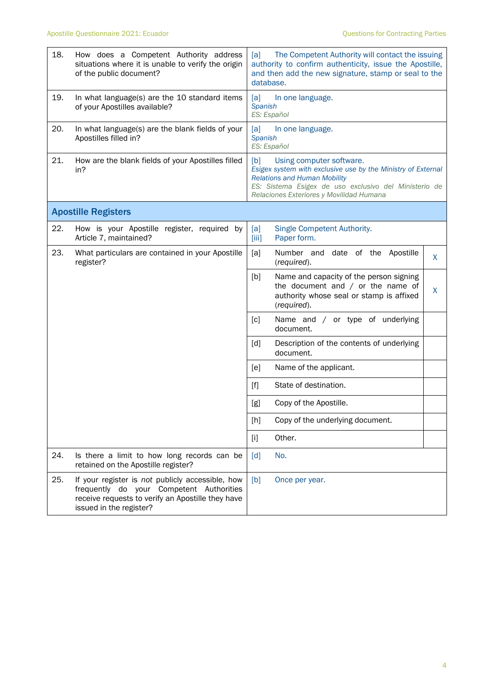| 18. | How does a Competent Authority address<br>situations where it is unable to verify the origin<br>of the public document?                                                      | The Competent Authority will contact the issuing<br>[a]<br>authority to confirm authenticity, issue the Apostille,<br>and then add the new signature, stamp or seal to the<br>database.                                                     |
|-----|------------------------------------------------------------------------------------------------------------------------------------------------------------------------------|---------------------------------------------------------------------------------------------------------------------------------------------------------------------------------------------------------------------------------------------|
| 19. | In what language(s) are the 10 standard items<br>of your Apostilles available?                                                                                               | [a]<br>In one language.<br>Spanish<br>ES: Español                                                                                                                                                                                           |
| 20. | In what language(s) are the blank fields of your<br>Apostilles filled in?                                                                                                    | [a]<br>In one language.<br>Spanish<br>ES: Español                                                                                                                                                                                           |
| 21. | How are the blank fields of your Apostilles filled<br>in?                                                                                                                    | [b]<br>Using computer software.<br>Esigex system with exclusive use by the Ministry of External<br><b>Relations and Human Mobility</b><br>ES: Sistema Esigex de uso exclusivo del Ministerio de<br>Relaciones Exteriores y Movilidad Humana |
|     | <b>Apostille Registers</b>                                                                                                                                                   |                                                                                                                                                                                                                                             |
| 22. | How is your Apostille register, required by<br>Article 7, maintained?                                                                                                        | Single Competent Authority.<br>[a]<br>Paper form.<br>$\left[\right]$                                                                                                                                                                        |
| 23. | What particulars are contained in your Apostille<br>register?                                                                                                                | [a]<br>Number and date of the Apostille<br>X<br>(required).                                                                                                                                                                                 |
|     |                                                                                                                                                                              | Name and capacity of the person signing<br>[b]<br>the document and $/$ or the name of<br>X<br>authority whose seal or stamp is affixed<br>(required).                                                                                       |
|     |                                                                                                                                                                              | [c]<br>Name and / or type of underlying<br>document.                                                                                                                                                                                        |
|     |                                                                                                                                                                              | [d]<br>Description of the contents of underlying<br>document.                                                                                                                                                                               |
|     |                                                                                                                                                                              | [e]<br>Name of the applicant.                                                                                                                                                                                                               |
|     |                                                                                                                                                                              | $[f]$<br>State of destination.                                                                                                                                                                                                              |
|     |                                                                                                                                                                              | Copy of the Apostille.<br>[g]                                                                                                                                                                                                               |
|     |                                                                                                                                                                              | [h]<br>Copy of the underlying document.                                                                                                                                                                                                     |
|     |                                                                                                                                                                              | Other.<br>$[1]$                                                                                                                                                                                                                             |
| 24. | Is there a limit to how long records can be<br>retained on the Apostille register?                                                                                           | No.<br>[d]                                                                                                                                                                                                                                  |
| 25. | If your register is not publicly accessible, how<br>frequently do your Competent Authorities<br>receive requests to verify an Apostille they have<br>issued in the register? | [b]<br>Once per year.                                                                                                                                                                                                                       |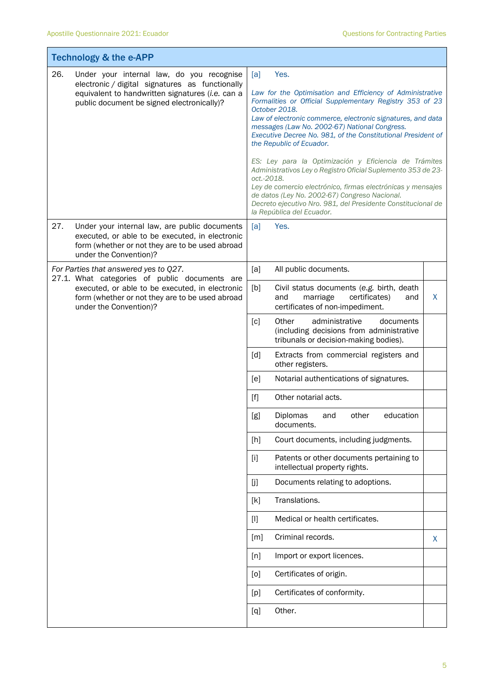|     | <b>Technology &amp; the e-APP</b>                                                                                                                                                              |                   |                                                                                                                                                                                                                                                                                                                                                                                                                                                                                                                                                                                                                                                                                                  |   |
|-----|------------------------------------------------------------------------------------------------------------------------------------------------------------------------------------------------|-------------------|--------------------------------------------------------------------------------------------------------------------------------------------------------------------------------------------------------------------------------------------------------------------------------------------------------------------------------------------------------------------------------------------------------------------------------------------------------------------------------------------------------------------------------------------------------------------------------------------------------------------------------------------------------------------------------------------------|---|
| 26. | Under your internal law, do you recognise<br>electronic / digital signatures as functionally<br>equivalent to handwritten signatures (i.e. can a<br>public document be signed electronically)? | [a]<br>oct.-2018. | Yes.<br>Law for the Optimisation and Efficiency of Administrative<br>Formalities or Official Supplementary Registry 353 of 23<br>October 2018.<br>Law of electronic commerce, electronic signatures, and data<br>messages (Law No. 2002-67) National Congress.<br>Executive Decree No. 981, of the Constitutional President of<br>the Republic of Ecuador.<br>ES: Ley para la Optimización y Eficiencia de Trámites<br>Administrativos Ley o Registro Oficial Suplemento 353 de 23-<br>Ley de comercio electrónico, firmas electrónicas y mensajes<br>de datos (Ley No. 2002-67) Congreso Nacional.<br>Decreto ejecutivo Nro. 981, del Presidente Constitucional de<br>la República del Ecuador. |   |
| 27. | Under your internal law, are public documents<br>executed, or able to be executed, in electronic<br>form (whether or not they are to be used abroad<br>under the Convention)?                  | [a]               | Yes.                                                                                                                                                                                                                                                                                                                                                                                                                                                                                                                                                                                                                                                                                             |   |
|     | For Parties that answered yes to Q27.<br>27.1. What categories of public documents are                                                                                                         | [a]               | All public documents.                                                                                                                                                                                                                                                                                                                                                                                                                                                                                                                                                                                                                                                                            |   |
|     | executed, or able to be executed, in electronic<br>form (whether or not they are to be used abroad<br>under the Convention)?                                                                   | [b]               | Civil status documents (e.g. birth, death<br>and<br>marriage<br>certificates)<br>and<br>certificates of non-impediment.                                                                                                                                                                                                                                                                                                                                                                                                                                                                                                                                                                          | X |
|     |                                                                                                                                                                                                | $\lceil c \rceil$ | administrative<br>documents<br>Other<br>(including decisions from administrative<br>tribunals or decision-making bodies).                                                                                                                                                                                                                                                                                                                                                                                                                                                                                                                                                                        |   |
|     |                                                                                                                                                                                                | [d]               | Extracts from commercial registers and<br>other registers.                                                                                                                                                                                                                                                                                                                                                                                                                                                                                                                                                                                                                                       |   |
|     |                                                                                                                                                                                                | [e]               | Notarial authentications of signatures.                                                                                                                                                                                                                                                                                                                                                                                                                                                                                                                                                                                                                                                          |   |
|     |                                                                                                                                                                                                | $[f]$             | Other notarial acts.                                                                                                                                                                                                                                                                                                                                                                                                                                                                                                                                                                                                                                                                             |   |
|     |                                                                                                                                                                                                | [g]               | other<br>education<br>Diplomas<br>and<br>documents.                                                                                                                                                                                                                                                                                                                                                                                                                                                                                                                                                                                                                                              |   |
|     |                                                                                                                                                                                                | [h]               | Court documents, including judgments.                                                                                                                                                                                                                                                                                                                                                                                                                                                                                                                                                                                                                                                            |   |
|     |                                                                                                                                                                                                | $[1]$             | Patents or other documents pertaining to<br>intellectual property rights.                                                                                                                                                                                                                                                                                                                                                                                                                                                                                                                                                                                                                        |   |
|     |                                                                                                                                                                                                | [j]               | Documents relating to adoptions.                                                                                                                                                                                                                                                                                                                                                                                                                                                                                                                                                                                                                                                                 |   |
|     |                                                                                                                                                                                                | [k]               | Translations.                                                                                                                                                                                                                                                                                                                                                                                                                                                                                                                                                                                                                                                                                    |   |
|     |                                                                                                                                                                                                | $[1]$             | Medical or health certificates.                                                                                                                                                                                                                                                                                                                                                                                                                                                                                                                                                                                                                                                                  |   |
|     |                                                                                                                                                                                                | $\lceil m \rceil$ | Criminal records.                                                                                                                                                                                                                                                                                                                                                                                                                                                                                                                                                                                                                                                                                | X |
|     |                                                                                                                                                                                                | [n]               | Import or export licences.                                                                                                                                                                                                                                                                                                                                                                                                                                                                                                                                                                                                                                                                       |   |
|     |                                                                                                                                                                                                | [0]               | Certificates of origin.                                                                                                                                                                                                                                                                                                                                                                                                                                                                                                                                                                                                                                                                          |   |
|     |                                                                                                                                                                                                | [p]               | Certificates of conformity.                                                                                                                                                                                                                                                                                                                                                                                                                                                                                                                                                                                                                                                                      |   |
|     |                                                                                                                                                                                                | [q]               | Other.                                                                                                                                                                                                                                                                                                                                                                                                                                                                                                                                                                                                                                                                                           |   |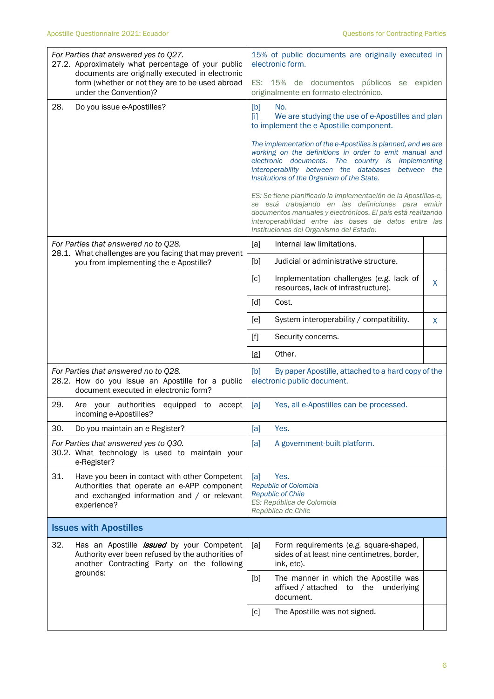| For Parties that answered yes to Q27.<br>27.2. Approximately what percentage of your public<br>documents are originally executed in electronic<br>form (whether or not they are to be used abroad |                                                                                                                                                                 | 15% of public documents are originally executed in<br>electronic form.<br>ES: 15% de documentos públicos se expiden                                                                                                                                                                 |                                                                                                                                                                                                                                                                                        |   |  |
|---------------------------------------------------------------------------------------------------------------------------------------------------------------------------------------------------|-----------------------------------------------------------------------------------------------------------------------------------------------------------------|-------------------------------------------------------------------------------------------------------------------------------------------------------------------------------------------------------------------------------------------------------------------------------------|----------------------------------------------------------------------------------------------------------------------------------------------------------------------------------------------------------------------------------------------------------------------------------------|---|--|
|                                                                                                                                                                                                   | under the Convention)?                                                                                                                                          |                                                                                                                                                                                                                                                                                     | originalmente en formato electrónico.                                                                                                                                                                                                                                                  |   |  |
| 28.                                                                                                                                                                                               | Do you issue e-Apostilles?                                                                                                                                      | [b]<br>$[1]$                                                                                                                                                                                                                                                                        | No.<br>We are studying the use of e-Apostilles and plan<br>to implement the e-Apostille component.                                                                                                                                                                                     |   |  |
|                                                                                                                                                                                                   |                                                                                                                                                                 | The implementation of the e-Apostilles is planned, and we are<br>working on the definitions in order to emit manual and<br>electronic documents. The country is<br>implementing<br>interoperability between the databases between the<br>Institutions of the Organism of the State. |                                                                                                                                                                                                                                                                                        |   |  |
|                                                                                                                                                                                                   |                                                                                                                                                                 |                                                                                                                                                                                                                                                                                     | ES: Se tiene planificado la implementación de la Apostillas-e,<br>se está trabajando en las definiciones para emitir<br>documentos manuales y electrónicos. El país está realizando<br>interoperabilidad entre las bases de datos entre las<br>Instituciones del Organismo del Estado. |   |  |
|                                                                                                                                                                                                   | For Parties that answered no to Q28.                                                                                                                            | [a]                                                                                                                                                                                                                                                                                 | Internal law limitations.                                                                                                                                                                                                                                                              |   |  |
|                                                                                                                                                                                                   | 28.1. What challenges are you facing that may prevent<br>you from implementing the e-Apostille?                                                                 | [b]                                                                                                                                                                                                                                                                                 | Judicial or administrative structure.                                                                                                                                                                                                                                                  |   |  |
|                                                                                                                                                                                                   |                                                                                                                                                                 | [c]                                                                                                                                                                                                                                                                                 | Implementation challenges (e.g. lack of<br>resources, lack of infrastructure).                                                                                                                                                                                                         | X |  |
|                                                                                                                                                                                                   |                                                                                                                                                                 | [d]                                                                                                                                                                                                                                                                                 | Cost.                                                                                                                                                                                                                                                                                  |   |  |
|                                                                                                                                                                                                   |                                                                                                                                                                 | [e]                                                                                                                                                                                                                                                                                 | System interoperability / compatibility.                                                                                                                                                                                                                                               | X |  |
|                                                                                                                                                                                                   |                                                                                                                                                                 | $[f]$                                                                                                                                                                                                                                                                               | Security concerns.                                                                                                                                                                                                                                                                     |   |  |
|                                                                                                                                                                                                   |                                                                                                                                                                 | [g]                                                                                                                                                                                                                                                                                 | Other.                                                                                                                                                                                                                                                                                 |   |  |
|                                                                                                                                                                                                   | For Parties that answered no to Q28.<br>28.2. How do you issue an Apostille for a public<br>document executed in electronic form?                               | [b]                                                                                                                                                                                                                                                                                 | By paper Apostille, attached to a hard copy of the<br>electronic public document.                                                                                                                                                                                                      |   |  |
| 29.                                                                                                                                                                                               | Are your authorities<br>equipped to<br>accept<br>incoming e-Apostilles?                                                                                         | [a]                                                                                                                                                                                                                                                                                 | Yes, all e-Apostilles can be processed.                                                                                                                                                                                                                                                |   |  |
| 30.                                                                                                                                                                                               | Do you maintain an e-Register?                                                                                                                                  | [a]                                                                                                                                                                                                                                                                                 | Yes.                                                                                                                                                                                                                                                                                   |   |  |
|                                                                                                                                                                                                   | For Parties that answered yes to Q30.<br>30.2. What technology is used to maintain your<br>e-Register?                                                          | [a]                                                                                                                                                                                                                                                                                 | A government-built platform.                                                                                                                                                                                                                                                           |   |  |
| 31.                                                                                                                                                                                               | Have you been in contact with other Competent<br>Authorities that operate an e-APP component<br>and exchanged information and / or relevant<br>experience?      | [a]                                                                                                                                                                                                                                                                                 | Yes.<br>Republic of Colombia<br><b>Republic of Chile</b><br>ES: República de Colombia<br>República de Chile                                                                                                                                                                            |   |  |
| <b>Issues with Apostilles</b>                                                                                                                                                                     |                                                                                                                                                                 |                                                                                                                                                                                                                                                                                     |                                                                                                                                                                                                                                                                                        |   |  |
| 32.                                                                                                                                                                                               | Has an Apostille <i>issued</i> by your Competent<br>Authority ever been refused by the authorities of<br>another Contracting Party on the following<br>grounds: | [a]                                                                                                                                                                                                                                                                                 | Form requirements (e.g. square-shaped,<br>sides of at least nine centimetres, border,<br>ink, etc).                                                                                                                                                                                    |   |  |
|                                                                                                                                                                                                   |                                                                                                                                                                 | [b]                                                                                                                                                                                                                                                                                 | The manner in which the Apostille was<br>affixed / attached<br>underlying<br>to<br>the<br>document.                                                                                                                                                                                    |   |  |
|                                                                                                                                                                                                   |                                                                                                                                                                 | [c]                                                                                                                                                                                                                                                                                 | The Apostille was not signed.                                                                                                                                                                                                                                                          |   |  |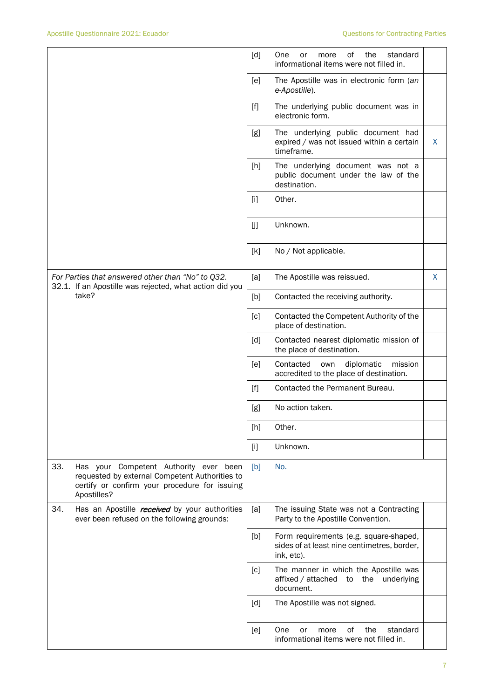|                                                                                                                                                                 | [d]<br>0f<br>the<br>standard<br>One<br>more<br>or<br>informational items were not filled in.               |    |
|-----------------------------------------------------------------------------------------------------------------------------------------------------------------|------------------------------------------------------------------------------------------------------------|----|
|                                                                                                                                                                 | [e]<br>The Apostille was in electronic form (an<br>e-Apostille).                                           |    |
|                                                                                                                                                                 | The underlying public document was in<br>$[f]$<br>electronic form.                                         |    |
|                                                                                                                                                                 | The underlying public document had<br>[g]<br>expired / was not issued within a certain<br>timeframe.       | X  |
|                                                                                                                                                                 | The underlying document was not a<br>[h]<br>public document under the law of the<br>destination.           |    |
|                                                                                                                                                                 | Other.<br>$[1]$                                                                                            |    |
|                                                                                                                                                                 | Unknown.<br>[j]                                                                                            |    |
|                                                                                                                                                                 | [k]<br>No / Not applicable.                                                                                |    |
| For Parties that answered other than "No" to Q32.<br>32.1. If an Apostille was rejected, what action did you                                                    | [a]<br>The Apostille was reissued.                                                                         | X. |
| take?                                                                                                                                                           | [b]<br>Contacted the receiving authority.                                                                  |    |
|                                                                                                                                                                 | Contacted the Competent Authority of the<br>[c]<br>place of destination.                                   |    |
|                                                                                                                                                                 | [d]<br>Contacted nearest diplomatic mission of<br>the place of destination.                                |    |
|                                                                                                                                                                 | Contacted<br>diplomatic<br>[e]<br>own<br>mission<br>accredited to the place of destination.                |    |
|                                                                                                                                                                 | Contacted the Permanent Bureau.<br>[f]                                                                     |    |
|                                                                                                                                                                 | No action taken.<br>[g]                                                                                    |    |
|                                                                                                                                                                 | Other.<br>[h]                                                                                              |    |
|                                                                                                                                                                 | Unknown.<br>$[1]$                                                                                          |    |
| 33.<br>Has your Competent Authority ever been<br>requested by external Competent Authorities to<br>certify or confirm your procedure for issuing<br>Apostilles? | No.<br>[b]                                                                                                 |    |
| 34.<br>Has an Apostille <i>received</i> by your authorities<br>ever been refused on the following grounds:                                                      | The issuing State was not a Contracting<br>[a]<br>Party to the Apostille Convention.                       |    |
|                                                                                                                                                                 | Form requirements (e.g. square-shaped,<br>[b]<br>sides of at least nine centimetres, border,<br>ink, etc). |    |
|                                                                                                                                                                 | The manner in which the Apostille was<br>[c]<br>affixed / attached<br>the<br>underlying<br>to<br>document. |    |
|                                                                                                                                                                 | [d]<br>The Apostille was not signed.                                                                       |    |
|                                                                                                                                                                 | of<br>One<br>the<br>standard<br>[e]<br>or<br>more<br>informational items were not filled in.               |    |